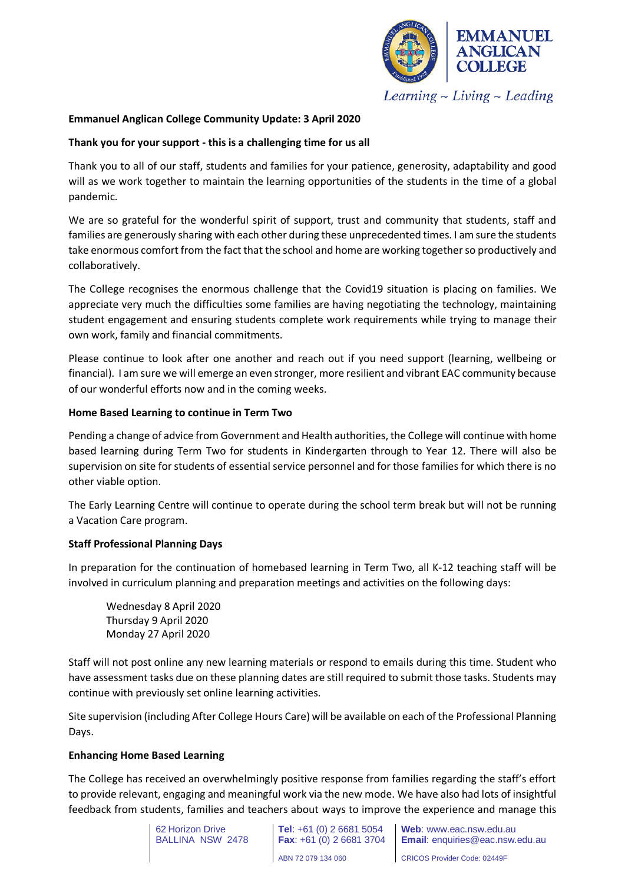

 $Learning$  - Living - Leading

# **Emmanuel Anglican College Community Update: 3 April 2020**

## **Thank you for your support - this is a challenging time for us all**

Thank you to all of our staff, students and families for your patience, generosity, adaptability and good will as we work together to maintain the learning opportunities of the students in the time of a global pandemic.

We are so grateful for the wonderful spirit of support, trust and community that students, staff and families are generously sharing with each other during these unprecedented times. I am sure the students take enormous comfort from the fact that the school and home are working together so productively and collaboratively.

The College recognises the enormous challenge that the Covid19 situation is placing on families. We appreciate very much the difficulties some families are having negotiating the technology, maintaining student engagement and ensuring students complete work requirements while trying to manage their own work, family and financial commitments.

Please continue to look after one another and reach out if you need support (learning, wellbeing or financial). I am sure we will emerge an even stronger, more resilient and vibrant EAC community because of our wonderful efforts now and in the coming weeks.

### **Home Based Learning to continue in Term Two**

Pending a change of advice from Government and Health authorities, the College will continue with home based learning during Term Two for students in Kindergarten through to Year 12. There will also be supervision on site for students of essential service personnel and for those families for which there is no other viable option.

The Early Learning Centre will continue to operate during the school term break but will not be running a Vacation Care program.

## **Staff Professional Planning Days**

In preparation for the continuation of homebased learning in Term Two, all K-12 teaching staff will be involved in curriculum planning and preparation meetings and activities on the following days:

Wednesday 8 April 2020 Thursday 9 April 2020 Monday 27 April 2020

Staff will not post online any new learning materials or respond to emails during this time. Student who have assessment tasks due on these planning dates are still required to submit those tasks. Students may continue with previously set online learning activities.

Site supervision (including After College Hours Care) will be available on each of the Professional Planning Days.

#### **Enhancing Home Based Learning**

The College has received an overwhelmingly positive response from families regarding the staff's effort to provide relevant, engaging and meaningful work via the new mode. We have also had lots of insightful feedback from students, families and teachers about ways to improve the experience and manage this